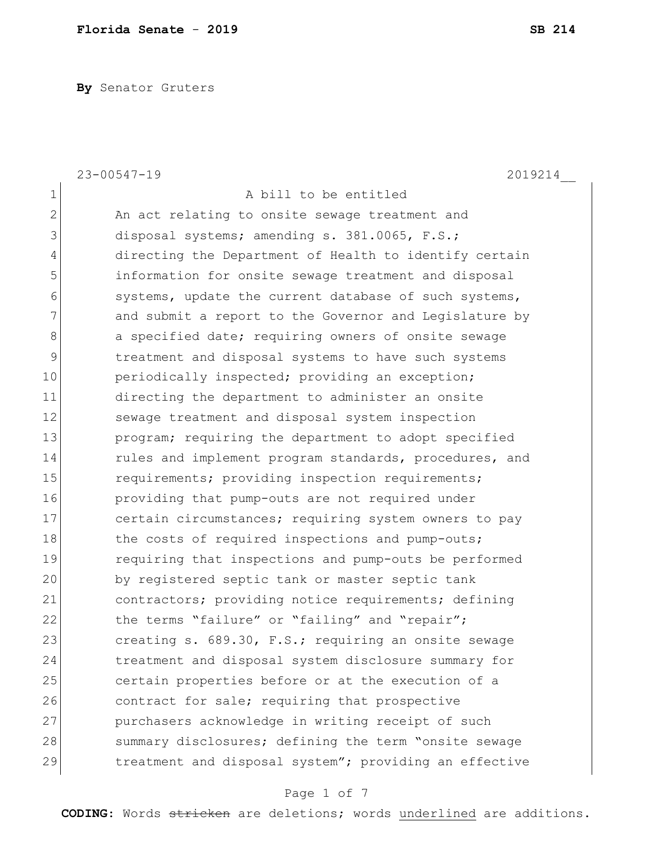**By** Senator Gruters

|                | $23 - 00547 - 19$<br>2019214                           |
|----------------|--------------------------------------------------------|
| $\mathbf 1$    | A bill to be entitled                                  |
| $\overline{2}$ | An act relating to onsite sewage treatment and         |
| 3              | disposal systems; amending s. 381.0065, F.S.;          |
| 4              | directing the Department of Health to identify certain |
| 5              | information for onsite sewage treatment and disposal   |
| 6              | systems, update the current database of such systems,  |
| 7              | and submit a report to the Governor and Legislature by |
| 8              | a specified date; requiring owners of onsite sewage    |
| 9              | treatment and disposal systems to have such systems    |
| 10             | periodically inspected; providing an exception;        |
| 11             | directing the department to administer an onsite       |
| 12             | sewage treatment and disposal system inspection        |
| 13             | program; requiring the department to adopt specified   |
| 14             | rules and implement program standards, procedures, and |
| 15             | requirements; providing inspection requirements;       |
| 16             | providing that pump-outs are not required under        |
| 17             | certain circumstances; requiring system owners to pay  |
| 18             | the costs of required inspections and pump-outs;       |
| 19             | requiring that inspections and pump-outs be performed  |
| 20             | by registered septic tank or master septic tank        |
| 21             | contractors; providing notice requirements; defining   |
| 22             | the terms "failure" or "failing" and "repair";         |
| 23             | creating s. 689.30, F.S.; requiring an onsite sewage   |
| 24             | treatment and disposal system disclosure summary for   |
| 25             | certain properties before or at the execution of a     |
| 26             | contract for sale; requiring that prospective          |
| 27             | purchasers acknowledge in writing receipt of such      |
| 28             | summary disclosures; defining the term "onsite sewage  |
| 29             | treatment and disposal system"; providing an effective |

# Page 1 of 7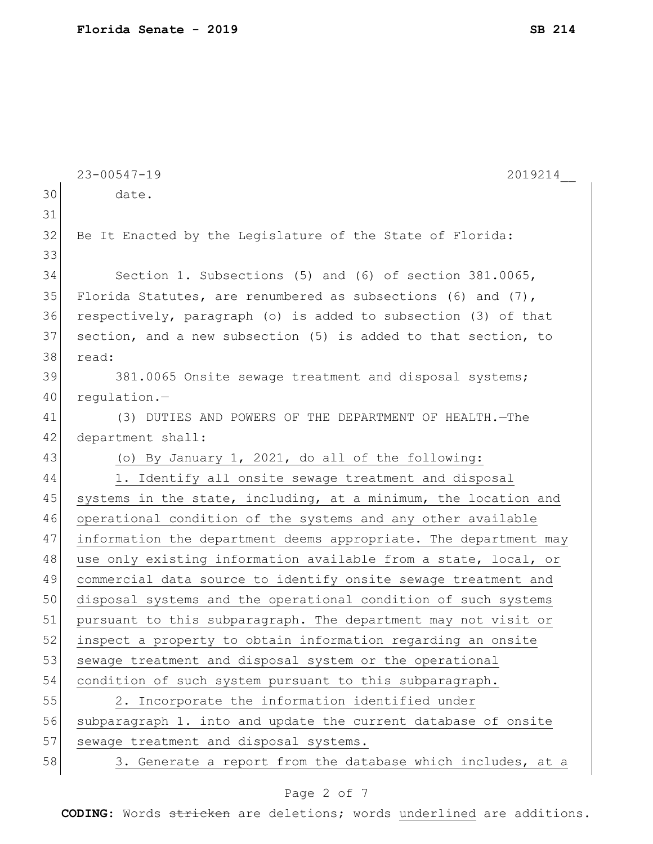|    | $23 - 00547 - 19$<br>2019214                                     |
|----|------------------------------------------------------------------|
| 30 | date.                                                            |
| 31 |                                                                  |
| 32 | Be It Enacted by the Legislature of the State of Florida:        |
| 33 |                                                                  |
| 34 | Section 1. Subsections (5) and (6) of section 381.0065,          |
| 35 | Florida Statutes, are renumbered as subsections (6) and $(7)$ ,  |
| 36 | respectively, paragraph (o) is added to subsection (3) of that   |
| 37 | section, and a new subsection (5) is added to that section, to   |
| 38 | read:                                                            |
| 39 | 381.0065 Onsite sewage treatment and disposal systems;           |
| 40 | regulation.-                                                     |
| 41 | (3) DUTIES AND POWERS OF THE DEPARTMENT OF HEALTH. - The         |
| 42 | department shall:                                                |
| 43 | (o) By January 1, 2021, do all of the following:                 |
| 44 | 1. Identify all onsite sewage treatment and disposal             |
| 45 | systems in the state, including, at a minimum, the location and  |
| 46 | operational condition of the systems and any other available     |
| 47 | information the department deems appropriate. The department may |
| 48 | use only existing information available from a state, local, or  |
| 49 | commercial data source to identify onsite sewage treatment and   |
| 50 | disposal systems and the operational condition of such systems   |
| 51 | pursuant to this subparagraph. The department may not visit or   |
| 52 | inspect a property to obtain information regarding an onsite     |
| 53 | sewage treatment and disposal system or the operational          |
| 54 | condition of such system pursuant to this subparagraph.          |
| 55 | 2. Incorporate the information identified under                  |
| 56 | subparagraph 1. into and update the current database of onsite   |
| 57 | sewage treatment and disposal systems.                           |
| 58 | 3. Generate a report from the database which includes, at a      |

# Page 2 of 7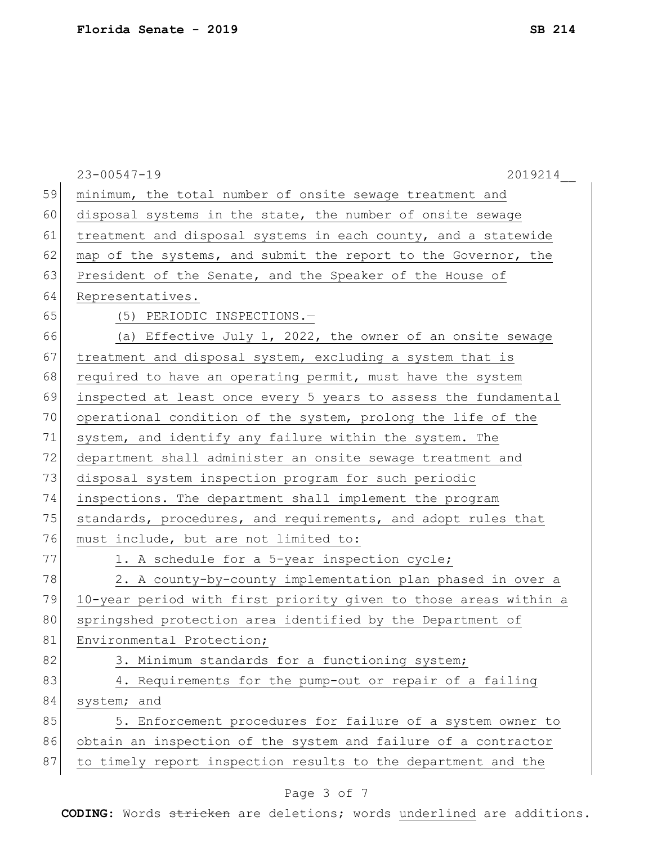|    | $23 - 00547 - 19$<br>2019214                                     |
|----|------------------------------------------------------------------|
| 59 | minimum, the total number of onsite sewage treatment and         |
| 60 | disposal systems in the state, the number of onsite sewage       |
| 61 | treatment and disposal systems in each county, and a statewide   |
| 62 | map of the systems, and submit the report to the Governor, the   |
| 63 | President of the Senate, and the Speaker of the House of         |
| 64 | Representatives.                                                 |
| 65 | (5) PERIODIC INSPECTIONS.-                                       |
| 66 | (a) Effective July 1, 2022, the owner of an onsite sewage        |
| 67 | treatment and disposal system, excluding a system that is        |
| 68 | required to have an operating permit, must have the system       |
| 69 | inspected at least once every 5 years to assess the fundamental  |
| 70 | operational condition of the system, prolong the life of the     |
| 71 | system, and identify any failure within the system. The          |
| 72 | department shall administer an onsite sewage treatment and       |
| 73 | disposal system inspection program for such periodic             |
| 74 | inspections. The department shall implement the program          |
| 75 | standards, procedures, and requirements, and adopt rules that    |
| 76 | must include, but are not limited to:                            |
| 77 | 1. A schedule for a 5-year inspection cycle;                     |
| 78 | 2. A county-by-county implementation plan phased in over a       |
| 79 | 10-year period with first priority given to those areas within a |
| 80 | springshed protection area identified by the Department of       |
| 81 | Environmental Protection;                                        |
| 82 | 3. Minimum standards for a functioning system;                   |
| 83 | 4. Requirements for the pump-out or repair of a failing          |
| 84 | system; and                                                      |
| 85 | 5. Enforcement procedures for failure of a system owner to       |
| 86 | obtain an inspection of the system and failure of a contractor   |
| 87 | to timely report inspection results to the department and the    |
|    |                                                                  |

# Page 3 of 7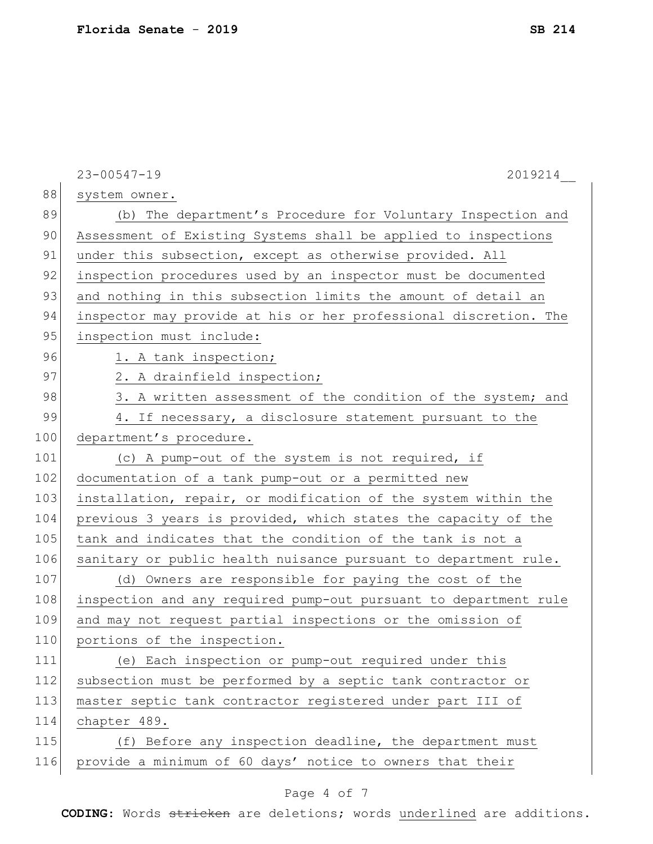|     | $23 - 00547 - 19$<br>2019214                                     |
|-----|------------------------------------------------------------------|
| 88  | system owner.                                                    |
| 89  | (b) The department's Procedure for Voluntary Inspection and      |
| 90  | Assessment of Existing Systems shall be applied to inspections   |
| 91  | under this subsection, except as otherwise provided. All         |
| 92  | inspection procedures used by an inspector must be documented    |
| 93  | and nothing in this subsection limits the amount of detail an    |
| 94  | inspector may provide at his or her professional discretion. The |
| 95  | inspection must include:                                         |
| 96  | 1. A tank inspection;                                            |
| 97  | 2. A drainfield inspection;                                      |
| 98  | 3. A written assessment of the condition of the system; and      |
| 99  | 4. If necessary, a disclosure statement pursuant to the          |
| 100 | department's procedure.                                          |
| 101 | (c) A pump-out of the system is not required, if                 |
| 102 | documentation of a tank pump-out or a permitted new              |
| 103 | installation, repair, or modification of the system within the   |
| 104 | previous 3 years is provided, which states the capacity of the   |
| 105 | tank and indicates that the condition of the tank is not a       |
| 106 | sanitary or public health nuisance pursuant to department rule.  |
| 107 | (d) Owners are responsible for paying the cost of the            |
| 108 | inspection and any required pump-out pursuant to department rule |
| 109 | and may not request partial inspections or the omission of       |
| 110 | portions of the inspection.                                      |
| 111 | (e) Each inspection or pump-out required under this              |
| 112 | subsection must be performed by a septic tank contractor or      |
| 113 | master septic tank contractor registered under part III of       |
| 114 | chapter 489.                                                     |
| 115 | (f) Before any inspection deadline, the department must          |
| 116 | provide a minimum of 60 days' notice to owners that their        |
|     |                                                                  |

# Page 4 of 7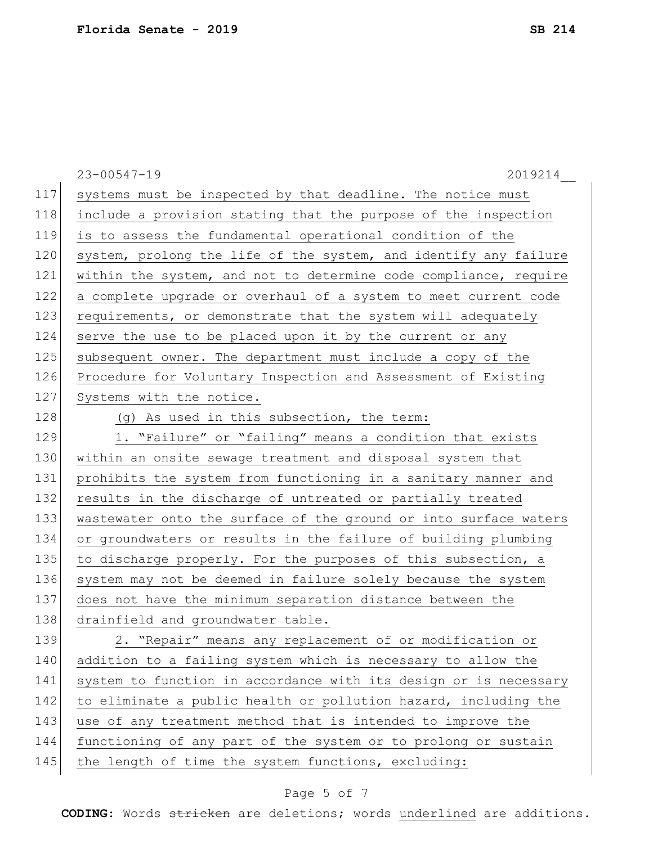|     | $23 - 00547 - 19$<br>2019214                                     |
|-----|------------------------------------------------------------------|
| 117 | systems must be inspected by that deadline. The notice must      |
| 118 | include a provision stating that the purpose of the inspection   |
| 119 | is to assess the fundamental operational condition of the        |
| 120 | system, prolong the life of the system, and identify any failure |
| 121 | within the system, and not to determine code compliance, require |
| 122 | a complete upgrade or overhaul of a system to meet current code  |
| 123 | requirements, or demonstrate that the system will adequately     |
| 124 | serve the use to be placed upon it by the current or any         |
| 125 | subsequent owner. The department must include a copy of the      |
| 126 | Procedure for Voluntary Inspection and Assessment of Existing    |
| 127 | Systems with the notice.                                         |
| 128 | (g) As used in this subsection, the term:                        |
| 129 | 1. "Failure" or "failing" means a condition that exists          |
| 130 | within an onsite sewage treatment and disposal system that       |
| 131 | prohibits the system from functioning in a sanitary manner and   |
| 132 | results in the discharge of untreated or partially treated       |
| 133 | wastewater onto the surface of the ground or into surface waters |
| 134 | or groundwaters or results in the failure of building plumbing   |
| 135 | to discharge properly. For the purposes of this subsection, a    |
| 136 | system may not be deemed in failure solely because the system    |
| 137 | does not have the minimum separation distance between the        |
| 138 | drainfield and groundwater table.                                |
| 139 | 2. "Repair" means any replacement of or modification or          |
| 140 | addition to a failing system which is necessary to allow the     |
| 141 | system to function in accordance with its design or is necessary |
| 142 | to eliminate a public health or pollution hazard, including the  |
| 143 | use of any treatment method that is intended to improve the      |
| 144 | functioning of any part of the system or to prolong or sustain   |
| 145 | the length of time the system functions, excluding:              |

# Page 5 of 7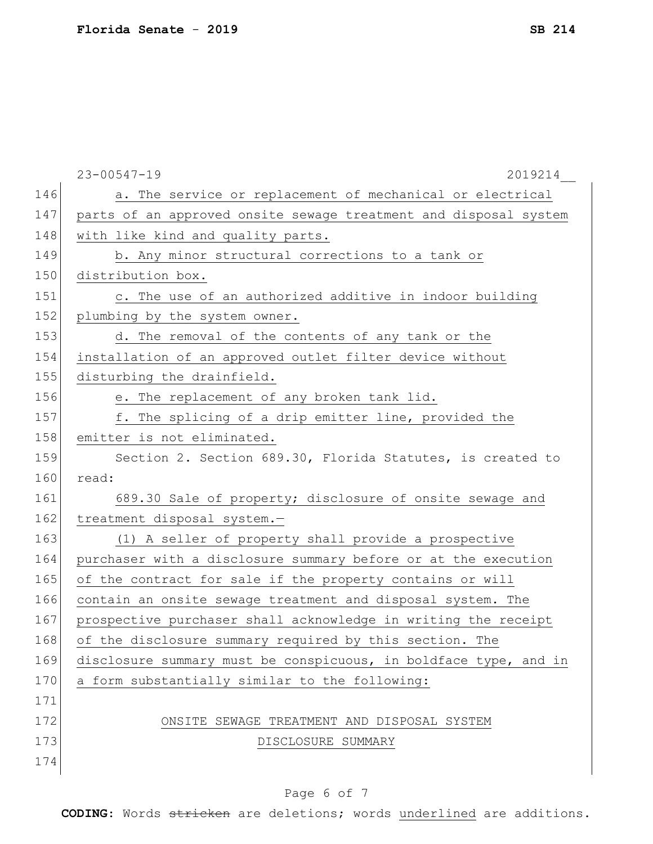|     | $23 - 00547 - 19$<br>2019214                                     |
|-----|------------------------------------------------------------------|
| 146 | a. The service or replacement of mechanical or electrical        |
| 147 | parts of an approved onsite sewage treatment and disposal system |
| 148 | with like kind and quality parts.                                |
| 149 | b. Any minor structural corrections to a tank or                 |
| 150 | distribution box.                                                |
| 151 | c. The use of an authorized additive in indoor building          |
| 152 | plumbing by the system owner.                                    |
| 153 | d. The removal of the contents of any tank or the                |
| 154 | installation of an approved outlet filter device without         |
| 155 | disturbing the drainfield.                                       |
| 156 | e. The replacement of any broken tank lid.                       |
| 157 | f. The splicing of a drip emitter line, provided the             |
| 158 | emitter is not eliminated.                                       |
| 159 | Section 2. Section 689.30, Florida Statutes, is created to       |
| 160 | read:                                                            |
| 161 | 689.30 Sale of property; disclosure of onsite sewage and         |
| 162 | treatment disposal system.-                                      |
| 163 | (1) A seller of property shall provide a prospective             |
| 164 | purchaser with a disclosure summary before or at the execution   |
| 165 | of the contract for sale if the property contains or will        |
| 166 | contain an onsite sewage treatment and disposal system. The      |
| 167 | prospective purchaser shall acknowledge in writing the receipt   |
| 168 | of the disclosure summary required by this section. The          |
| 169 | disclosure summary must be conspicuous, in boldface type, and in |
| 170 | a form substantially similar to the following:                   |
| 171 |                                                                  |
| 172 | ONSITE SEWAGE TREATMENT AND DISPOSAL SYSTEM                      |
| 173 | DISCLOSURE SUMMARY                                               |
| 174 |                                                                  |

# Page 6 of 7